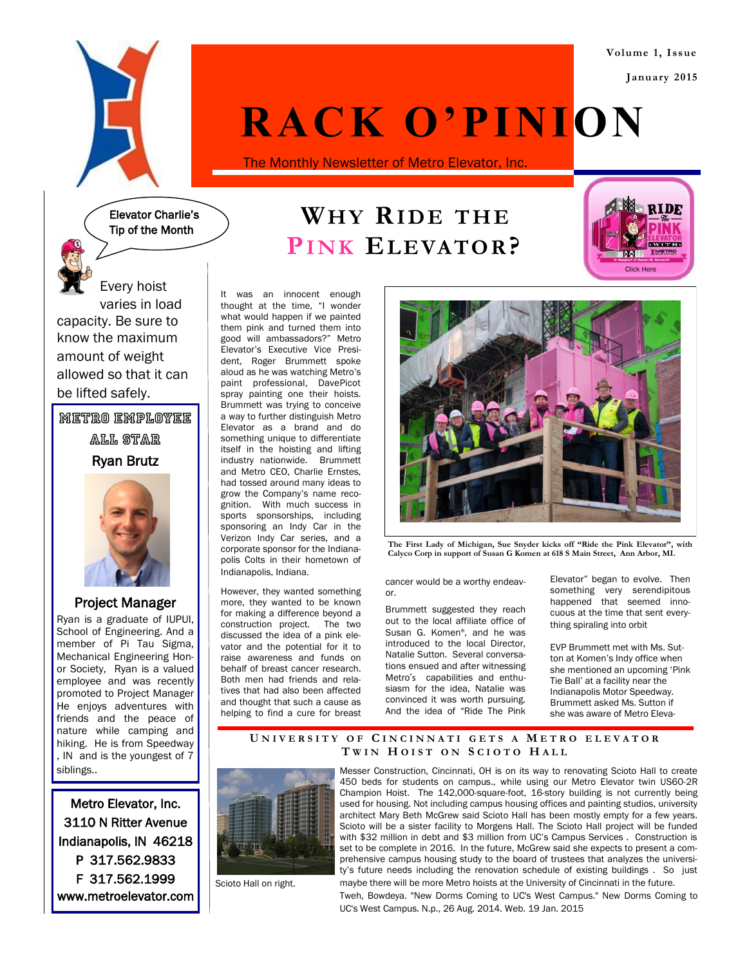**Volume 1, Issue January 2015**



# **RACK O'PINION**

The Monthly Newsletter of Metro Elevator, Inc.



# **WH Y RID E T HE PI N K EL EVA TO R?**



Every hoist varies in load capacity. Be sure to know the maximum amount of weight allowed so that it can be lifted safely.

METRO EMPLOYEE

All Star

Ryan Brutz



## Project Manager

Ryan is a graduate of IUPUI, School of Engineering. And a member of Pi Tau Sigma, Mechanical Engineering Honor Society, Ryan is a valued employee and was recently promoted to Project Manager He enjoys adventures with friends and the peace of nature while camping and hiking. He is from Speedway , IN and is the youngest of 7 siblings..

Metro Elevator, Inc. 3110 N Ritter Avenue Indianapolis, IN 46218 P 317.562.9833 F 317.562.1999 www.metroelevator.com It was an innocent enough thought at the time, "I wonder what would happen if we painted them pink and turned them into good will ambassadors?" Metro Elevator's Executive Vice President, Roger Brummett spoke aloud as he was watching Metro's paint professional, DavePicot spray painting one their hoists. Brummett was trying to conceive a way to further distinguish Metro Elevator as a brand and do something unique to differentiate itself in the hoisting and lifting industry nationwide. Brummett and Metro CEO, Charlie Ernstes, had tossed around many ideas to grow the Company's name recognition. With much success in sports sponsorships, including sponsoring an Indy Car in the Verizon Indy Car series, and a corporate sponsor for the Indianapolis Colts in their hometown of Indianapolis, Indiana.

However, they wanted something more, they wanted to be known for making a difference beyond a construction project. The two discussed the idea of a pink elevator and the potential for it to raise awareness and funds on behalf of breast cancer research. Both men had friends and relatives that had also been affected and thought that such a cause as helping to find a cure for breast



**The First Lady of Michigan, Sue Snyder kicks off "Ride the Pink Elevator", with Calyco Corp in support of Susan G Komen at 618 S Main Street, Ann Arbor, MI.**

cancer would be a worthy endeavor.

Brummett suggested they reach out to the local affiliate office of Susan G. Komen®, and he was introduced to the local Director, Natalie Sutton. Several conversations ensued and after witnessing Metro's capabilities and enthusiasm for the idea, Natalie was convinced it was worth pursuing. And the idea of "Ride The Pink Elevator" began to evolve. Then something very serendipitous happened that seemed innocuous at the time that sent everything spiraling into orbit

EVP Brummett met with Ms. Sutton at Komen's Indy office when she mentioned an upcoming 'Pink Tie Ball' at a facility near the Indianapolis Motor Speedway. Brummett asked Ms. Sutton if she was aware of Metro Eleva-

### **U N I V E R S I T Y O F C I N C I N N A T I G E T S A M E T R O E L E V A T O R T W I N H O I S T O N S C I O T O H A L L**



Scioto Hall on right.

Messer Construction, Cincinnati, OH is on its way to renovating Scioto Hall to create 450 beds for students on campus., while using our Metro Elevator twin US60-2R Champion Hoist. The 142,000-square-foot, 16-story building is not currently being used for housing. Not including campus housing offices and painting studios, university architect Mary Beth McGrew said Scioto Hall has been mostly empty for a few years. Scioto will be a sister facility to Morgens Hall. The Scioto Hall project will be funded with \$32 million in debt and \$3 million from UC's Campus Services . Construction is set to be complete in 2016. In the future, McGrew said she expects to present a comprehensive campus housing study to the board of trustees that analyzes the university's future needs including the renovation schedule of existing buildings . So just maybe there will be more Metro hoists at the University of Cincinnati in the future.

Tweh, Bowdeya. "New Dorms Coming to UC's West Campus." New Dorms Coming to UC's West Campus. N.p., 26 Aug. 2014. Web. 19 Jan. 2015